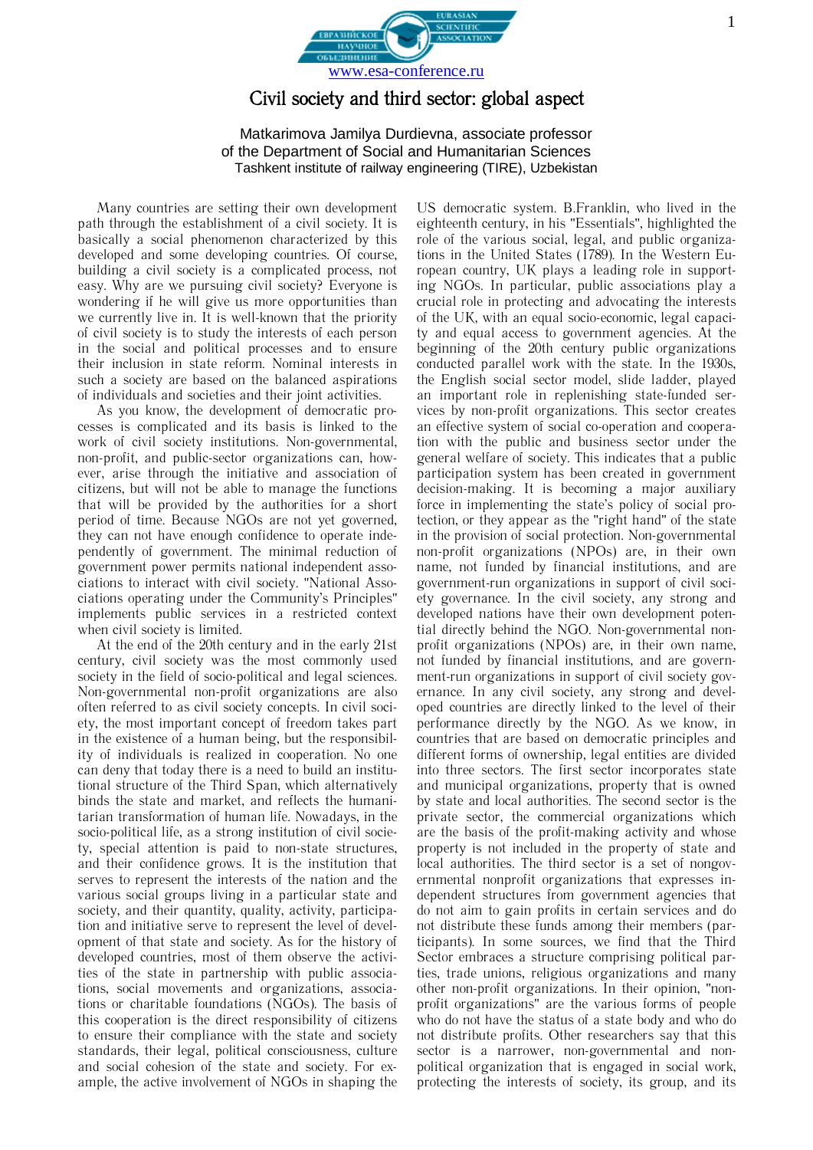

## Civil society and third sector: global aspect

Matkarimova Jamilya Durdievna, associate professor of the Department of Social and Humanitarian Sciences Tashkent institute of railway engineering (TIRE), Uzbekistan

Many countries are setting their own development path through the establishment of a civil society. It is basically a social phenomenon characterized by this developed and some developing countries. Of course, building a civil society is a complicated process, not easy. Why are we pursuing civil society? Everyone is wondering if he will give us more opportunities than we currently live in. It is well-known that the priority of civil society is to study the interests of each person in the social and political processes and to ensure their inclusion in state reform. Nominal interests in such a society are based on the balanced aspirations of individuals and societies and their joint activities.

As you know, the development of democratic processes is complicated and its basis is linked to the work of civil society institutions. Non-governmental, non-profit, and public-sector organizations can, however, arise through the initiative and association of citizens, but will not be able to manage the functions that will be provided by the authorities for a short period of time. Because NGOs are not yet governed, they can not have enough confidence to operate independently of government. The minimal reduction of government power permits national independent associations to interact with civil society. "National Associations operating under the Community's Principles" implements public services in a restricted context when civil society is limited.

At the end of the 20th century and in the early 21st century, civil society was the most commonly used society in the field of socio-political and legal sciences. Non-governmental non-profit organizations are also often referred to as civil society concepts. In civil society, the most important concept of freedom takes part in the existence of a human being, but the responsibility of individuals is realized in cooperation. No one can deny that today there is a need to build an institutional structure of the Third Span, which alternatively binds the state and market, and reflects the humanitarian transformation of human life. Nowadays, in the socio-political life, as a strong institution of civil society, special attention is paid to non-state structures, and their confidence grows. It is the institution that serves to represent the interests of the nation and the various social groups living in a particular state and society, and their quantity, quality, activity, participation and initiative serve to represent the level of development of that state and society. As for the history of developed countries, most of them observe the activities of the state in partnership with public associations, social movements and organizations, associations or charitable foundations (NGOs). The basis of this cooperation is the direct responsibility of citizens to ensure their compliance with the state and society standards, their legal, political consciousness, culture and social cohesion of the state and society. For example, the active involvement of NGOs in shaping the

US democratic system. B.Franklin, who lived in the eighteenth century, in his "Essentials", highlighted the role of the various social, legal, and public organizations in the United States (1789). In the Western European country, UK plays a leading role in supporting NGOs. In particular, public associations play a crucial role in protecting and advocating the interests of the UK, with an equal socio-economic, legal capacity and equal access to government agencies. At the beginning of the 20th century public organizations conducted parallel work with the state. In the 1930s, the English social sector model, slide ladder, played an important role in replenishing state-funded services by non-profit organizations. This sector creates an effective system of social co-operation and cooperation with the public and business sector under the general welfare of society. This indicates that a public participation system has been created in government decision-making. It is becoming a major auxiliary force in implementing the state's policy of social protection, or they appear as the "right hand" of the state in the provision of social protection. Non-governmental non-profit organizations (NPOs) are, in their own name, not funded by financial institutions, and are government-run organizations in support of civil society governance. In the civil society, any strong and developed nations have their own development potential directly behind the NGO. Non-governmental nonprofit organizations (NPOs) are, in their own name, not funded by financial institutions, and are government-run organizations in support of civil society governance. In any civil society, any strong and developed countries are directly linked to the level of their performance directly by the NGO. As we know, in countries that are based on democratic principles and different forms of ownership, legal entities are divided into three sectors. The first sector incorporates state and municipal organizations, property that is owned by state and local authorities. The second sector is the private sector, the commercial organizations which are the basis of the profit-making activity and whose property is not included in the property of state and local authorities. The third sector is a set of nongovernmental nonprofit organizations that expresses independent structures from government agencies that do not aim to gain profits in certain services and do not distribute these funds among their members (participants). In some sources, we find that the Third Sector embraces a structure comprising political parties, trade unions, religious organizations and many other non-profit organizations. In their opinion, "nonprofit organizations" are the various forms of people who do not have the status of a state body and who do not distribute profits. Other researchers say that this sector is a narrower, non-governmental and nonpolitical organization that is engaged in social work, protecting the interests of society, its group, and its